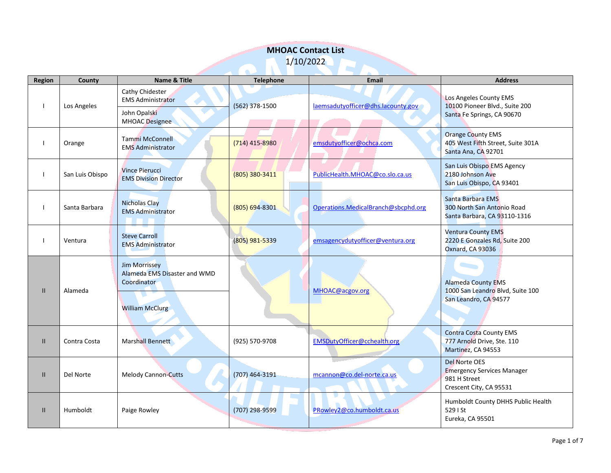|               | <b>MHOAC Contact List</b> |                                                                                               |                  |                                     |                                                                                                      |  |  |
|---------------|---------------------------|-----------------------------------------------------------------------------------------------|------------------|-------------------------------------|------------------------------------------------------------------------------------------------------|--|--|
| 1/10/2022     |                           |                                                                                               |                  |                                     |                                                                                                      |  |  |
| Region        | County                    | Name & Title                                                                                  | <b>Telephone</b> | Email                               | <b>Address</b>                                                                                       |  |  |
|               | Los Angeles               | Cathy Chidester<br><b>EMS Administrator</b><br>John Opalski<br><b>MHOAC</b> Designee          | (562) 378-1500   | laemsadutyofficer@dhs.lacounty.gov  | Los Angeles County EMS<br>10100 Pioneer Blvd., Suite 200<br>Santa Fe Springs, CA 90670               |  |  |
|               | Orange                    | <b>Tammi McConnell</b><br><b>EMS Administrator</b>                                            | (714) 415-8980   | emsdutyofficer@ochca.com            | <b>Orange County EMS</b><br>405 West Fifth Street, Suite 301A<br>Santa Ana, CA 92701                 |  |  |
|               | San Luis Obispo           | <b>Vince Pierucci</b><br><b>EMS Division Director</b>                                         | (805) 380-3411   | PublicHealth.MHOAC@co.slo.ca.us     | San Luis Obispo EMS Agency<br>2180 Johnson Ave<br>San Luis Obispo, CA 93401                          |  |  |
|               | Santa Barbara             | <b>Nicholas Clay</b><br><b>EMS Administrator</b>                                              | (805) 694-8301   | Operations.MedicalBranch@sbcphd.org | Santa Barbara EMS<br>300 North San Antonio Road<br>Santa Barbara, CA 93110-1316                      |  |  |
|               | Ventura                   | <b>Steve Carroll</b><br><b>EMS Administrator</b>                                              | (805) 981-5339   | emsagencydutyofficer@ventura.org    | <b>Ventura County EMS</b><br>2220 E Gonzales Rd, Suite 200<br>Oxnard, CA 93036                       |  |  |
| $\mathbf{II}$ | Alameda                   | <b>Jim Morrissey</b><br>Alameda EMS Disaster and WMD<br>Coordinator<br><b>William McClurg</b> |                  | MHOAC@acgov.org                     | <b>Alameda County EMS</b><br>1000 San Leandro Blvd, Suite 100<br>San Leandro, CA 94577               |  |  |
| $\mathbf{H}$  | Contra Costa              | Marshall Bennett                                                                              | (925) 570-9708   | EMSDutyOfficer@cchealth.org         | <b>Contra Costa County EMS</b><br>777 Arnold Drive, Ste. 110<br>Martinez, CA 94553                   |  |  |
| $\mathbf{II}$ | Del Norte                 | <b>Melody Cannon-Cutts</b>                                                                    | (707) 464-3191   | mcannon@co.del-norte.ca.us          | <b>Del Norte OES</b><br><b>Emergency Services Manager</b><br>981 H Street<br>Crescent City, CA 95531 |  |  |
| $\mathbf{II}$ | Humboldt                  | Paige Rowley                                                                                  | (707) 298-9599   | PRowley2@co.humboldt.ca.us          | Humboldt County DHHS Public Health<br>529   St<br>Eureka, CA 95501                                   |  |  |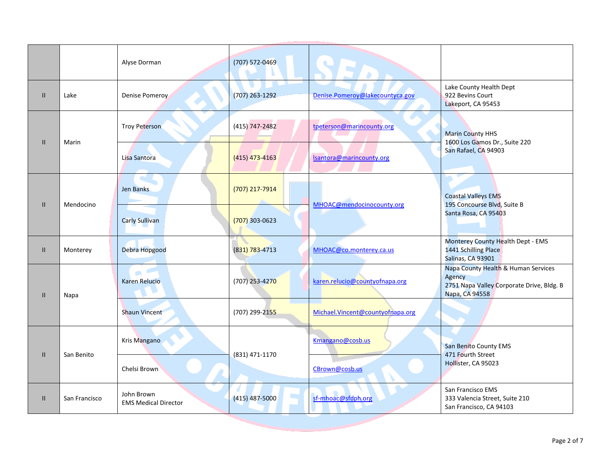|               |               | Alyse Dorman                              | (707) 572-0469     |                                  |                                                                                                              |
|---------------|---------------|-------------------------------------------|--------------------|----------------------------------|--------------------------------------------------------------------------------------------------------------|
| H.            | Lake          | Denise Pomeroy                            | $(707)$ 263-1292   | Denise.Pomeroy@lakecountyca.gov  | Lake County Health Dept<br>922 Bevins Court<br>Lakeport, CA 95453                                            |
|               | Marin         | <b>Troy Peterson</b>                      | $(415)$ 747-2482   | tpeterson@marincounty.org        | <b>Marin County HHS</b>                                                                                      |
| $\mathbf{II}$ |               | Lisa Santora                              | (415) 473-4163     | Isantora@marincounty.org         | 1600 Los Gamos Dr., Suite 220<br>San Rafael, CA 94903                                                        |
| H.            | Mendocino     | Jen Banks                                 | (707) 217-7914     | MHOAC@mendocinocounty.org        | <b>Coastal Valleys EMS</b><br>195 Concourse Blvd, Suite B                                                    |
|               |               | <b>Carly Sullivan</b>                     | $(707)$ 303-0623   |                                  | Santa Rosa, CA 95403                                                                                         |
| $\mathbf{H}$  | Monterey      | <b>Debra Hopgood</b>                      | $(831) 783 - 4713$ | MHOAC@co.monterey.ca.us          | Monterey County Health Dept - EMS<br>1441 Schilling Place<br>Salinas, CA 93901                               |
| $\mathbf{II}$ | Napa          | a an<br><b>Karen Relucio</b>              | (707) 253-4270     | karen.relucio@countyofnapa.org   | Napa County Health & Human Services<br>Agency<br>2751 Napa Valley Corporate Drive, Bldg. B<br>Napa, CA 94558 |
|               |               | <b>Shaun Vincent</b>                      | (707) 299-2155     | Michael.Vincent@countyofnapa.org |                                                                                                              |
| $\mathbf{II}$ | San Benito    | Kris Mangano                              | (831) 471-1170     | Kmangano@cosb.us                 | San Benito County EMS<br>471 Fourth Street<br>Hollister, CA 95023                                            |
|               |               | Chelsi Brown                              |                    | CBrown@cosb.us                   |                                                                                                              |
| Ш             | San Francisco | John Brown<br><b>EMS Medical Director</b> | $(415)$ 487-5000   | sf-mhoac@sfdph.org               | San Francisco EMS<br>333 Valencia Street, Suite 210<br>San Francisco, CA 94103                               |
|               |               |                                           |                    |                                  |                                                                                                              |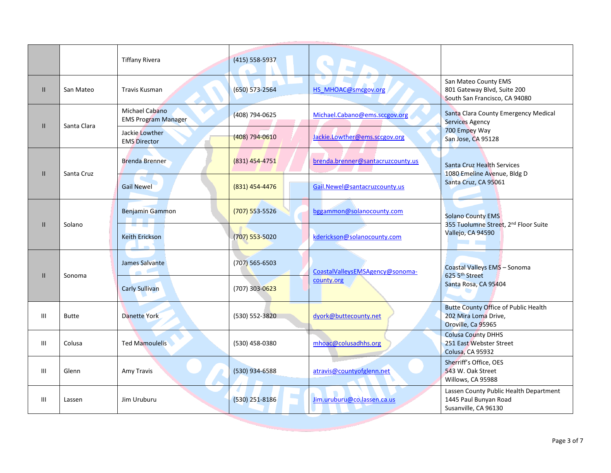|               |              | <b>Tiffany Rivera</b>                        | (415) 558-5937     |                                   |                                                                                                                      |
|---------------|--------------|----------------------------------------------|--------------------|-----------------------------------|----------------------------------------------------------------------------------------------------------------------|
| $\mathbf{II}$ | San Mateo    | Travis Kusman                                | $(650) 573 - 2564$ | HS MHOAC@smcgov.org               | San Mateo County EMS<br>801 Gateway Blvd, Suite 200<br>South San Francisco, CA 94080                                 |
| $\mathbf{II}$ | Santa Clara  | Michael Cabano<br><b>EMS Program Manager</b> | (408) 794-0625     | Michael.Cabano@ems.sccgov.org     | Santa Clara County Emergency Medical<br><b>Services Agency</b>                                                       |
|               |              | Jackie Lowther<br><b>EMS Director</b>        | $(408) 794 - 0610$ | Jackie.Lowther@ems.sccgov.org     | 700 Empey Way<br>San Jose, CA 95128                                                                                  |
| H.            | Santa Cruz   | <b>Brenda Brenner</b>                        | $(831)$ 454-4751   | brenda.brenner@santacruzcounty.us | Santa Cruz Health Services<br>1080 Emeline Avenue, Bldg D                                                            |
|               |              | <b>Gail Newel</b>                            | (831) 454-4476     | Gail.Newel@santacruzcounty.us     | Santa Cruz, CA 95061                                                                                                 |
|               | Solano       | <b>Benjamin Gammon</b>                       | $(707) 553 - 5526$ | bggammon@solanocounty.com         | <b>Solano County EMS</b><br>355 Tuolumne Street, 2 <sup>nd</sup> Floor Suite<br>Vallejo, CA 94590<br><b>Contract</b> |
| $\mathbf{II}$ |              | Keith Erickson                               | (707) 553-5020     | kderickson@solanocounty.com       |                                                                                                                      |
| $\mathbf{II}$ | Sonoma       | James Salvante<br>$\bullet$ $\bullet$        | $(707)$ 565-6503   | CoastalValleysEMSAgency@sonoma-   | Coastal Valleys EMS - Sonoma<br>625 5 <sup>th</sup> Street                                                           |
|               |              | <b>Carly Sullivan</b>                        | (707) 303-0623     | county.org                        | Santa Rosa, CA 95404                                                                                                 |
| III           | <b>Butte</b> | Danette York                                 | (530) 552-3820     | dyork@buttecounty.net             | <b>Butte County Office of Public Health</b><br>202 Mira Loma Drive,<br>Oroville, Ca 95965                            |
| Ш             | Colusa       | <b>Ted Mamoulelis</b>                        | (530) 458-0380     | mhoac@colusadhhs.org              | <b>Colusa County DHHS</b><br>251 East Webster Street<br>Colusa, CA 95932                                             |
| III           | Glenn        | Amy Travis                                   | (530) 934-6588     | atravis@countyofglenn.net         | Sherriff's Office, OES<br>543 W. Oak Street<br>Willows, CA 95988                                                     |
| Ш             | Lassen       | Jim Uruburu                                  | (530) 251-8186     | Jim.uruburu@co.lassen.ca.us       | Lassen County Public Health Department<br>1445 Paul Bunyan Road<br>Susanville, CA 96130                              |
|               |              |                                              |                    |                                   |                                                                                                                      |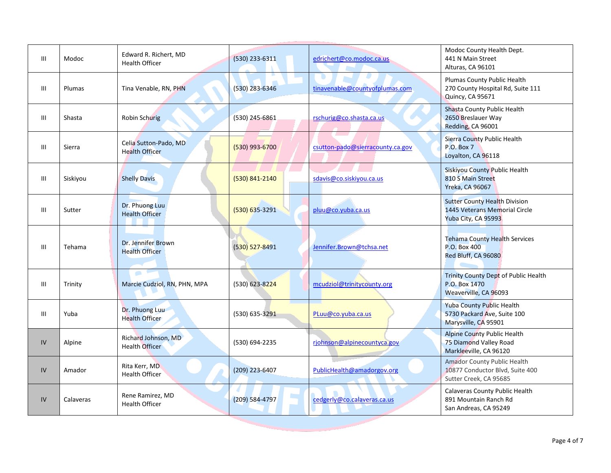| III | Modoc     | Edward R. Richert, MD<br><b>Health Officer</b> | (530) 233-6311     | edrichert@co.modoc.ca.us         | Modoc County Health Dept.<br>441 N Main Street<br>Alturas, CA 96101                          |
|-----|-----------|------------------------------------------------|--------------------|----------------------------------|----------------------------------------------------------------------------------------------|
| III | Plumas    | Tina Venable, RN, PHN                          | (530) 283-6346     | tinavenable@countyofplumas.com   | Plumas County Public Health<br>270 County Hospital Rd, Suite 111<br>Quincy, CA 95671         |
| III | Shasta    | <b>Robin Schurig</b>                           | (530) 245-6861     | rschurig@co.shasta.ca.us         | Shasta County Public Health<br>2650 Breslauer Way<br>Redding, CA 96001                       |
| III | Sierra    | Celia Sutton-Pado, MD<br><b>Health Officer</b> | $(530)$ 993-6700   | csutton-pado@sierracounty.ca.gov | Sierra County Public Health<br><b>P.O. Box 7</b><br>Loyalton, CA 96118                       |
| Ш   | Siskiyou  | <b>Shelly Davis</b>                            | (530) 841-2140     | sdavis@co.siskiyou.ca.us         | Siskiyou County Public Health<br>810 S Main Street<br><b>Yreka, CA 96067</b>                 |
| III | Sutter    | Dr. Phuong Luu<br><b>Health Officer</b>        | $(530) 635 - 3291$ | pluu@co.yuba.ca.us               | <b>Sutter County Health Division</b><br>1445 Veterans Memorial Circle<br>Yuba City, CA 95993 |
| III | Tehama    | Dr. Jennifer Brown<br><b>Health Officer</b>    | $(530) 527 - 8491$ | Jennifer.Brown@tchsa.net         | <b>Tehama County Health Services</b><br>P.O. Box 400<br>Red Bluff, CA 96080                  |
| Ш   | Trinity   | $\blacksquare$<br>Marcie Cudziol, RN, PHN, MPA | (530) 623-8224     | mcudziol@trinitycounty.org       | Trinity County Dept of Public Health<br>P.O. Box 1470<br>Weaverville, CA 96093               |
| Ш   | Yuba      | Dr. Phuong Luu<br><b>Health Officer</b>        | (530) 635-3291     | PLuu@co.yuba.ca.us               | <b>Yuba County Public Health</b><br>5730 Packard Ave, Suite 100<br>Marysville, CA 95901      |
| IV  | Alpine    | Richard Johnson, MD<br><b>Health Officer</b>   | (530) 694-2235     | rjohnson@alpinecountyca.gov      | <b>Alpine County Public Health</b><br>75 Diamond Valley Road<br>Markleeville, CA 96120       |
| IV  | Amador    | Rita Kerr, MD<br><b>Health Officer</b>         | (209) 223-6407     | PublicHealth@amadorgov.org       | Amador County Public Health<br>10877 Conductor Blvd, Suite 400<br>Sutter Creek, CA 95685     |
| IV  | Calaveras | Rene Ramirez, MD<br><b>Health Officer</b>      | (209) 584-4797     | cedgerly@co.calaveras.ca.us      | Calaveras County Public Health<br>891 Mountain Ranch Rd<br>San Andreas, CA 95249             |
|     |           |                                                |                    |                                  |                                                                                              |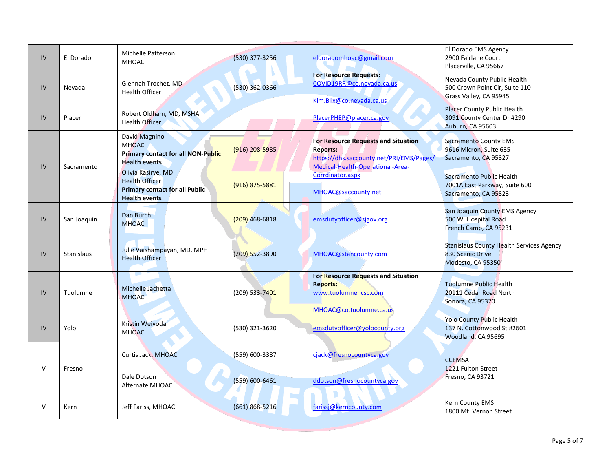| IV | El Dorado         | Michelle Patterson<br><b>MHOAC</b>                                                                           | (530) 377-3256     | eldoradomhoac@gmail.com                                                                                                                       | El Dorado EMS Agency<br>2900 Fairlane Court<br>Placerville, CA 95667                        |
|----|-------------------|--------------------------------------------------------------------------------------------------------------|--------------------|-----------------------------------------------------------------------------------------------------------------------------------------------|---------------------------------------------------------------------------------------------|
| IV | Nevada            | Glennah Trochet, MD<br><b>Health Officer</b>                                                                 | $(530)$ 362-0366   | <b>For Resource Requests:</b><br>COVID19RR@co.nevada.ca.us<br>Kim.Blix@co.nevada.ca.us                                                        | Nevada County Public Health<br>500 Crown Point Cir, Suite 110<br>Grass Valley, CA 95945     |
| IV | Placer            | Robert Oldham, MD, MSHA<br><b>Health Officer</b>                                                             |                    | PlacerPHEP@placer.ca.gov                                                                                                                      | <b>Placer County Public Health</b><br>3091 County Center Dr #290<br><b>Auburn, CA 95603</b> |
| IV | Sacramento        | David Magnino<br><b>MHOAC</b><br><b>Primary contact for all NON-Public</b><br><b>Health events</b>           | $(916)$ 208-5985   | <b>For Resource Requests and Situation</b><br><b>Reports:</b><br>https://dhs.saccounty.net/PRI/EMS/Pages/<br>Medical-Health-Operational-Area- | <b>Sacramento County EMS</b><br>9616 Micron, Suite 635<br>Sacramento, CA 95827              |
|    |                   | Olivia Kasirye, MD<br><b>Health Officer</b><br><b>Primary contact for all Public</b><br><b>Health events</b> | $(916)$ 875-5881   | Corrdinator.aspx<br>MHOAC@saccounty.net                                                                                                       | Sacramento Public Health<br>7001A East Parkway, Suite 600<br>Sacramento, CA 95823           |
| IV | San Joaquin       | Dan Burch<br><b>MHOAC</b>                                                                                    | $(209)$ 468-6818   | emsdutyofficer@sjgov.org                                                                                                                      | San Joaquin County EMS Agency<br>500 W. Hospital Road<br>French Camp, CA 95231              |
| IV | <b>Stanislaus</b> | Julie Vaishampayan, MD, MPH<br><b>Health Officer</b>                                                         | (209) 552-3890     | MHOAC@stancounty.com                                                                                                                          | <b>Stanislaus County Health Services Agency</b><br>830 Scenic Drive<br>Modesto, CA 95350    |
| IV | Tuolumne          | Michelle Jachetta<br><b>MHOAC</b>                                                                            | $(209)$ 533-7401   | For Resource Requests and Situation<br><b>Reports:</b><br>www.tuolumnehcsc.com<br>MHOAC@co.tuolumne.ca.us                                     | <b>Tuolumne Public Health</b><br>20111 Cedar Road North<br>Sonora, CA 95370                 |
| IV | Yolo              | Kristin Weivoda<br><b>MHOAC</b>                                                                              | (530) 321-3620     | emsdutyofficer@yolocounty.org                                                                                                                 | <b>Yolo County Public Health</b><br>137 N. Cottonwood St #2601<br>Woodland, CA 95695        |
| V  | Fresno            | Curtis Jack, MHOAC                                                                                           | (559) 600-3387     | cjack@fresnocountyca.gov                                                                                                                      | <b>CCEMSA</b><br>1221 Fulton Street                                                         |
|    |                   | Dale Dotson<br>Alternate MHOAC                                                                               | $(559) 600 - 6461$ | ddotson@fresnocountyca.gov                                                                                                                    | Fresno, CA 93721                                                                            |
| V  | Kern              | Jeff Fariss, MHOAC                                                                                           | $(661) 868 - 5216$ | farissj@kerncounty.com                                                                                                                        | Kern County EMS<br>1800 Mt. Vernon Street                                                   |
|    |                   |                                                                                                              |                    |                                                                                                                                               |                                                                                             |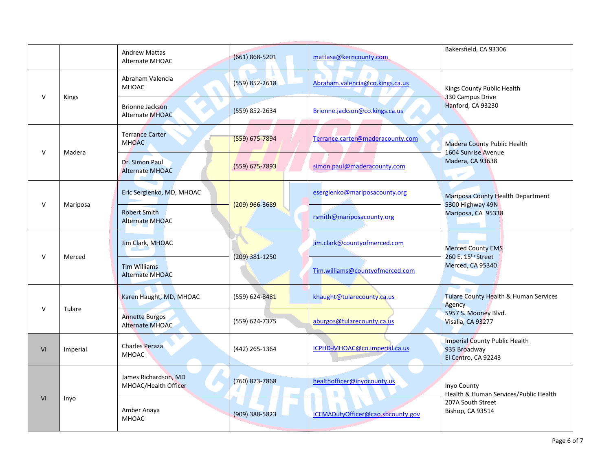|        |              | <b>Andrew Mattas</b><br>Alternate MHOAC          | $(661) 868 - 5201$ | mattasa@kerncounty.com            | Bakersfield, CA 93306                                                          |
|--------|--------------|--------------------------------------------------|--------------------|-----------------------------------|--------------------------------------------------------------------------------|
| v      | <b>Kings</b> | Abraham Valencia<br><b>MHOAC</b>                 | $(559) 852 - 2618$ | Abraham.valencia@co.kings.ca.us   | Kings County Public Health<br>330 Campus Drive                                 |
|        |              | <b>Brionne Jackson</b><br><b>Alternate MHOAC</b> | (559) 852-2634     | Brionne.jackson@co.kings.ca.us    | Hanford, CA 93230                                                              |
| V      |              | <b>Terrance Carter</b><br><b>MHOAC</b>           | $(559) 675 - 7894$ | Terrance.carter@maderacounty.com  | <b>Madera County Public Health</b><br>1604 Sunrise Avenue                      |
|        | Madera       | Dr. Simon Paul<br><b>Alternate MHOAC</b>         | (559) 675-7893     | simon.paul@maderacounty.com       | Madera, CA 93638<br>$\mathcal{P}$                                              |
| v      | Mariposa     | Eric Sergienko, MD, MHOAC                        | (209) 966-3689     | esergienko@mariposacounty.org     | Mariposa County Health Department<br>5300 Highway 49N<br>Mariposa, CA 95338    |
|        |              | <b>Robert Smith</b><br><b>Alternate MHOAC</b>    |                    | rsmith@mariposacounty.org         |                                                                                |
| $\vee$ | Merced       | Jim Clark, MHOAC                                 | (209) 381-1250     | jim.clark@countyofmerced.com      | <b>Merced County EMS</b><br>260 E. 15 <sup>th</sup> Street<br>Merced, CA 95340 |
|        |              | <b>Tim Williams</b><br><b>Alternate MHOAC</b>    |                    | Tim.williams@countyofmerced.com   |                                                                                |
| $\vee$ | Tulare       | Karen Haught, MD, MHOAC                          | (559) 624-8481     | khaught@tularecounty.ca.us        | <b>Tulare County Health &amp; Human Services</b><br>Agency                     |
|        |              | <b>Annette Burgos</b><br><b>Alternate MHOAC</b>  | (559) 624-7375     | aburgos@tularecounty.ca.us        | 5957 S. Mooney Blvd.<br>Visalia, CA 93277                                      |
| VI     | Imperial     | <b>Charles Peraza</b><br><b>MHOAC</b>            | (442) 265-1364     | ICPHD-MHOAC@co.imperial.ca.us     | <b>Imperial County Public Health</b><br>935 Broadway<br>El Centro, CA 92243    |
| VI     | Inyo         | James Richardson, MD<br>MHOAC/Health Officer     | $(760)$ 873-7868   | healthofficer@inyocounty.us       | Inyo County<br>Health & Human Services/Public Health                           |
|        |              | Amber Anaya<br><b>MHOAC</b>                      | $(909)$ 388-5823   | ICEMADutyOfficer@cao.sbcounty.gov | 207A South Street<br>Bishop, CA 93514                                          |